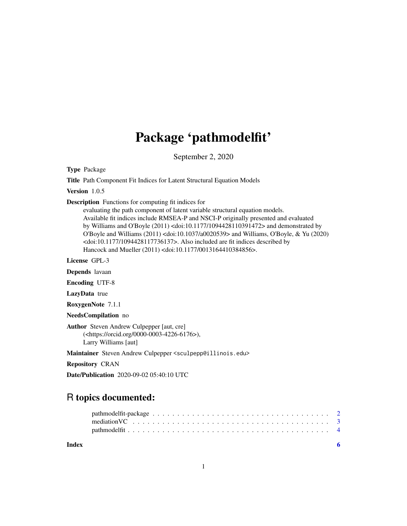## Package 'pathmodelfit'

September 2, 2020

Type Package

Title Path Component Fit Indices for Latent Structural Equation Models

Version 1.0.5

Description Functions for computing fit indices for

evaluating the path component of latent variable structural equation models. Available fit indices include RMSEA-P and NSCI-P originally presented and evaluated by Williams and O'Boyle (2011) <doi:10.1177/1094428110391472> and demonstrated by O'Boyle and Williams (2011) <doi:10.1037/a0020539> and Williams, O'Boyle, & Yu (2020) <doi:10.1177/1094428117736137>. Also included are fit indices described by Hancock and Mueller (2011) <doi:10.1177/0013164410384856>.

License GPL-3

Depends lavaan

Encoding UTF-8

LazyData true

RoxygenNote 7.1.1

NeedsCompilation no

Author Steven Andrew Culpepper [aut, cre] (<https://orcid.org/0000-0003-4226-6176>), Larry Williams [aut]

Maintainer Steven Andrew Culpepper <sculpepp@illinois.edu>

Repository CRAN

Date/Publication 2020-09-02 05:40:10 UTC

### R topics documented:

**Index** [6](#page-5-0) **6**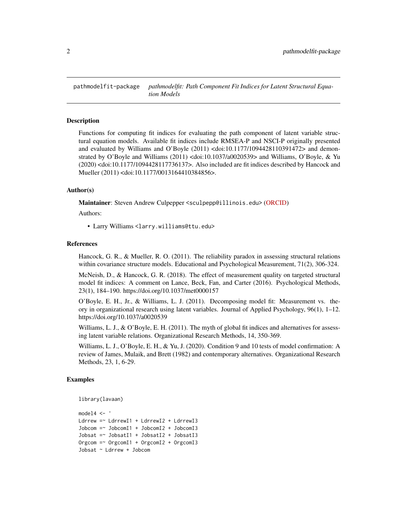<span id="page-1-0"></span>pathmodelfit-package *pathmodelfit: Path Component Fit Indices for Latent Structural Equation Models*

#### Description

Functions for computing fit indices for evaluating the path component of latent variable structural equation models. Available fit indices include RMSEA-P and NSCI-P originally presented and evaluated by Williams and O'Boyle (2011) <doi:10.1177/1094428110391472> and demonstrated by O'Boyle and Williams (2011) <doi:10.1037/a0020539> and Williams, O'Boyle, & Yu (2020) <doi:10.1177/1094428117736137>. Also included are fit indices described by Hancock and Mueller (2011) <doi:10.1177/0013164410384856>.

#### Author(s)

Maintainer: Steven Andrew Culpepper <sculpepp@illinois.edu> [\(ORCID\)](https://orcid.org/0000-0003-4226-6176)

Authors:

• Larry Williams <larry.williams@ttu.edu>

#### References

Hancock, G. R., & Mueller, R. O. (2011). The reliability paradox in assessing structural relations within covariance structure models. Educational and Psychological Measurement, 71(2), 306-324.

McNeish, D., & Hancock, G. R. (2018). The effect of measurement quality on targeted structural model fit indices: A comment on Lance, Beck, Fan, and Carter (2016). Psychological Methods, 23(1), 184–190. https://doi.org/10.1037/met0000157

O'Boyle, E. H., Jr., & Williams, L. J. (2011). Decomposing model fit: Measurement vs. theory in organizational research using latent variables. Journal of Applied Psychology, 96(1), 1–12. https://doi.org/10.1037/a0020539

Williams, L. J.,  $\&$  O'Boyle, E. H. (2011). The myth of global fit indices and alternatives for assessing latent variable relations. Organizational Research Methods, 14, 350-369.

Williams, L. J., O'Boyle, E. H., & Yu, J. (2020). Condition 9 and 10 tests of model confirmation: A review of James, Mulaik, and Brett (1982) and contemporary alternatives. Organizational Research Methods, 23, 1, 6-29.

#### Examples

```
library(lavaan)
```

```
model4 < -Ldrrew =~ LdrrewI1 + LdrrewI2 + LdrrewI3
Jobcom =~ JobcomI1 + JobcomI2 + JobcomI3
Jobsat =~ JobsatI1 + JobsatI2 + JobsatI3
Orgcom =~ OrgcomI1 + OrgcomI2 + OrgcomI3
Jobsat ~ Ldrrew + Jobcom
```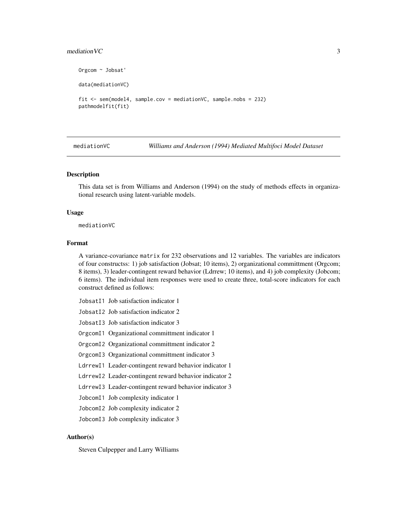#### <span id="page-2-0"></span> $\blacksquare$  mediation VC 3

```
Orgcom ~ Jobsat'
data(mediationVC)
fit <- sem(model4, sample.cov = mediationVC, sample.nobs = 232)
pathmodelfit(fit)
```
mediationVC *Williams and Anderson (1994) Mediated Multifoci Model Dataset*

#### Description

This data set is from Williams and Anderson (1994) on the study of methods effects in organizational research using latent-variable models.

#### Usage

mediationVC

#### Format

A variance-covariance matrix for 232 observations and 12 variables. The variables are indicators of four constructss: 1) job satisfaction (Jobsat; 10 items), 2) organizational committment (Orgcom; 8 items), 3) leader-contingent reward behavior (Ldrrew; 10 items), and 4) job complexity (Jobcom; 6 items). The individual item responses were used to create three, total-score indicators for each construct defined as follows:

- JobsatI1 Job satisfaction indicator 1
- JobsatI2 Job satisfaction indicator 2
- JobsatI3 Job satisfaction indicator 3

OrgcomI1 Organizational committment indicator 1

- OrgcomI2 Organizational committment indicator 2
- OrgcomI3 Organizational committment indicator 3
- LdrrewI1 Leader-contingent reward behavior indicator 1
- LdrrewI2 Leader-contingent reward behavior indicator 2
- LdrrewI3 Leader-contingent reward behavior indicator 3
- JobcomI1 Job complexity indicator 1
- JobcomI2 Job complexity indicator 2
- JobcomI3 Job complexity indicator 3

#### Author(s)

Steven Culpepper and Larry Williams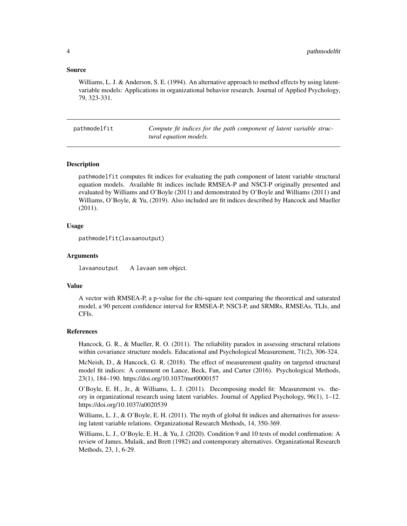#### <span id="page-3-0"></span>Source

Williams, L. J. & Anderson, S. E. (1994). An alternative approach to method effects by using latentvariable models: Applications in organizational behavior research. Journal of Applied Psychology, 79, 323-331.

pathmodelfit *Compute fit indices for the path component of latent variable structural equation models.*

#### Description

pathmodelfit computes fit indices for evaluating the path component of latent variable structural equation models. Available fit indices include RMSEA-P and NSCI-P originally presented and evaluated by Williams and O'Boyle (2011) and demonstrated by O'Boyle and Williams (2011) and Williams, O'Boyle, & Yu, (2019). Also included are fit indices described by Hancock and Mueller (2011).

#### Usage

```
pathmodelfit(lavaanoutput)
```
#### Arguments

lavaanoutput A lavaan sem object.

#### Value

A vector with RMSEA-P, a p-value for the chi-square test comparing the theoretical and saturated model, a 90 percent confidence interval for RMSEA-P, NSCI-P, and SRMRs, RMSEAs, TLIs, and CFIs.

#### References

Hancock, G. R., & Mueller, R. O. (2011). The reliability paradox in assessing structural relations within covariance structure models. Educational and Psychological Measurement, 71(2), 306-324.

McNeish, D., & Hancock, G. R. (2018). The effect of measurement quality on targeted structural model fit indices: A comment on Lance, Beck, Fan, and Carter (2016). Psychological Methods, 23(1), 184–190. https://doi.org/10.1037/met0000157

O'Boyle, E. H., Jr., & Williams, L. J. (2011). Decomposing model fit: Measurement vs. theory in organizational research using latent variables. Journal of Applied Psychology, 96(1), 1–12. https://doi.org/10.1037/a0020539

Williams, L. J.,  $\&$  O'Boyle, E. H. (2011). The myth of global fit indices and alternatives for assessing latent variable relations. Organizational Research Methods, 14, 350-369.

Williams, L. J., O'Boyle, E. H., & Yu, J. (2020). Condition 9 and 10 tests of model confirmation: A review of James, Mulaik, and Brett (1982) and contemporary alternatives. Organizational Research Methods, 23, 1, 6-29.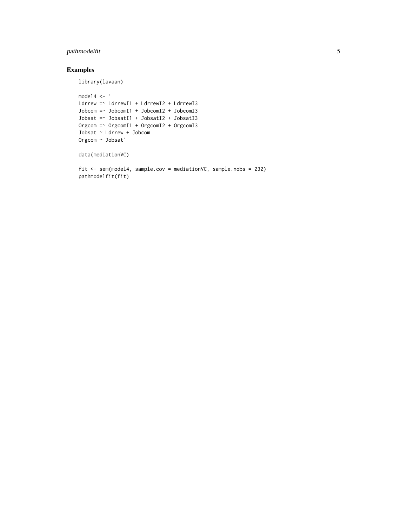#### pathmodelfit 5

#### Examples

library(lavaan)

```
<code>model4 <- '</code>
Ldrrew =~ LdrrewI1 + LdrrewI2 + LdrrewI3
Jobcom =~ JobcomI1 + JobcomI2 + JobcomI3
Jobsat =~ JobsatI1 + JobsatI2 + JobsatI3
Orgcom =~ OrgcomI1 + OrgcomI2 + OrgcomI3
Jobsat ~ Ldrrew + Jobcom
Orgcom ~ Jobsat'
data(mediationVC)
fit <- sem(model4, sample.cov = mediationVC, sample.nobs = 232)
pathmodelfit(fit)
```